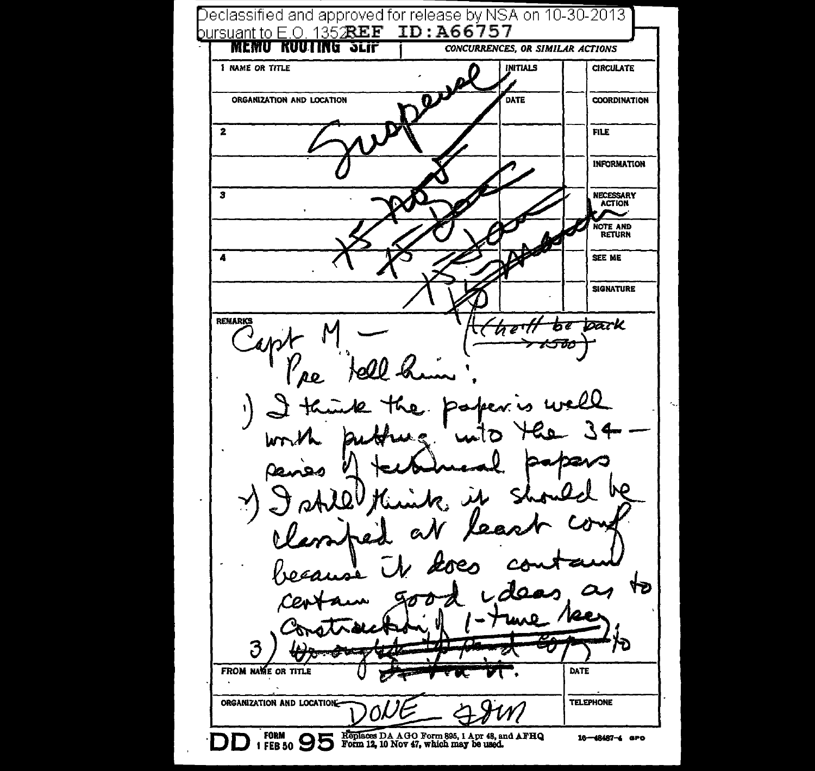Declassified and approved for release by NSA on 10-30-2013 ] bursuant to E.O. 135 $\mathcal{R}EF$  ID: A66757 **MEMU KUUTING SLIF** CONCURRENCES, OR SIMILAR ACTIONS **INITIALS 1 NAME OR TITLE CIRCULATE** ORGANIZATION AND LOCATION DATE **COORDINATION**  $\overline{2}$ **FILE INFORMATION** ٠. NECESSARY<br>ACTION NOTE AND  $\boldsymbol{A}$ SEE ME **SIGNATURE REMARKS** toark  $\overline{b}$ দেহুৰ্ণা 'pe ΔO. J) ۲  $\alpha$  $\overline{a}$ ٢Ð 3 FROM NAME OR TITLE DATE ORGANIZATION AND LOCATION-**TELEPHONE DD** FORM **ODE** Replaces DA AGO Form 895, 1 Apr 48, and AFHQ 16-48487-4 GPO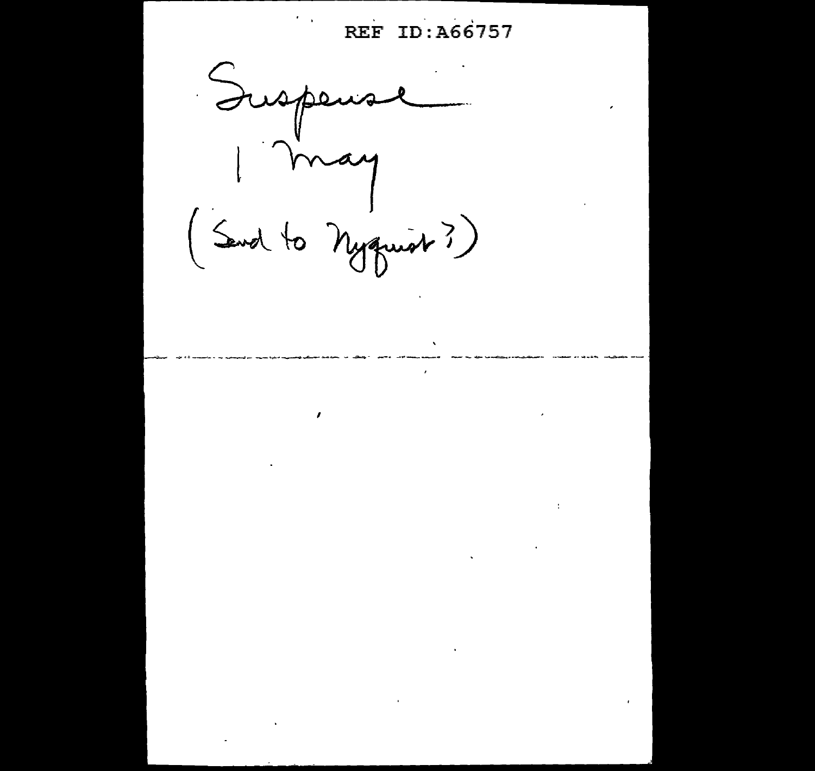REF ID: A66757

 $\ddot{\psi}$ 

Suspens mai (Send to Nyquist?)

 $\pmb{\prime}$ 

 $\mathbf{v}$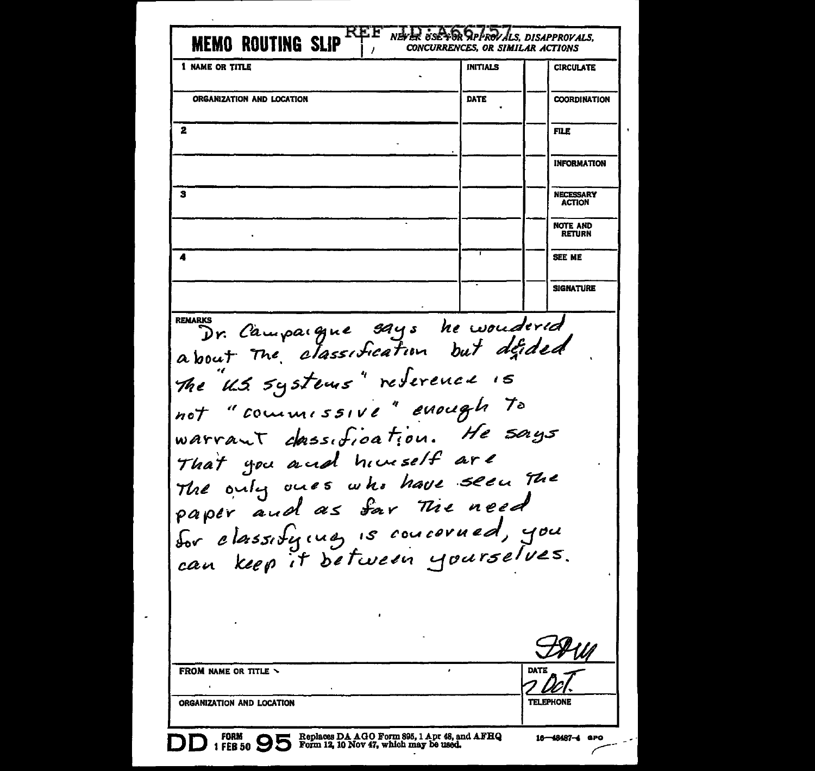| 1 NAME OR TITLE                                                                                                                                                                                         | <b>INITIALS</b> | <b>CIRCULATE</b>                  |
|---------------------------------------------------------------------------------------------------------------------------------------------------------------------------------------------------------|-----------------|-----------------------------------|
| ORGANIZATION AND LOCATION                                                                                                                                                                               | DATE            | <b>COORDINATION</b>               |
|                                                                                                                                                                                                         |                 |                                   |
| 2                                                                                                                                                                                                       |                 | <b>FILE</b>                       |
|                                                                                                                                                                                                         |                 | <b>INFORMATION</b>                |
| 3                                                                                                                                                                                                       |                 | <b>NECESSARY</b><br><b>ACTION</b> |
|                                                                                                                                                                                                         |                 | NOTE AND<br><b>RETURN</b>         |
| 4                                                                                                                                                                                                       |                 | SEE ME                            |
|                                                                                                                                                                                                         |                 | <b>SIGNATURE</b>                  |
|                                                                                                                                                                                                         |                 |                                   |
| warrant dassification. He says<br>That you and himself are<br>The only ones who have seen the<br>paper and as far The need<br>for classifying is concerned, you<br>can keep it between yourselves.<br>٠ |                 |                                   |
|                                                                                                                                                                                                         |                 |                                   |
| <b>FROM NAME OR TITLE \</b>                                                                                                                                                                             |                 | <b>DATE</b>                       |

 $\overline{\phantom{a}}$ 

 $\tilde{\phantom{a}}$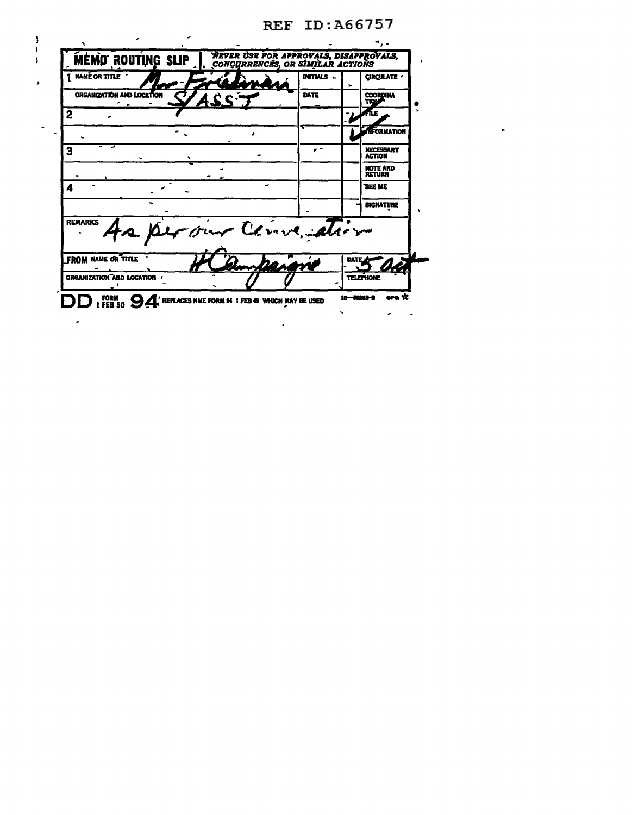|                             |                                                                                           | <b>REF ID:A66757</b> |                                  |                    |              |
|-----------------------------|-------------------------------------------------------------------------------------------|----------------------|----------------------------------|--------------------|--------------|
| x                           |                                                                                           |                      |                                  |                    |              |
| MEMO ROUTING SLIP           | <i><b>NEVER USE FOR APPROVALS, DISAPPROVALS,<br/>CONCURRENCES, OR SIMILAR ACTIONS</b></i> |                      |                                  |                    | $\mathbf{I}$ |
| <b>NAMÉ OR TITLE</b>        |                                                                                           | INITIALS -           | ×                                | <b>CIRCULATE /</b> |              |
| ORGANIZATION AND LOCATION   |                                                                                           | DATE                 | <b>COORDINA</b><br>TION          |                    |              |
|                             |                                                                                           |                      | ЛÆ                               |                    |              |
|                             | ,                                                                                         |                      |                                  | NFORMATION         |              |
| 3                           |                                                                                           | $\epsilon$ =         | <b>ACTION</b>                    | <b>NECESSARY</b>   |              |
|                             |                                                                                           |                      | <b>NOTE AND</b><br><b>RETURN</b> |                    |              |
| 4                           |                                                                                           |                      | <b>SEE ME</b>                    |                    |              |
|                             |                                                                                           |                      |                                  | <b>SIGNATURE</b>   |              |
| <b>REMARKS</b>              | our Cenversation                                                                          |                      |                                  |                    |              |
| <b>FROM NAME OR TITLE</b>   |                                                                                           |                      |                                  |                    |              |
| ORGANIZATION AND LOCATION ( |                                                                                           |                      | <b>TELEPHONE</b>                 |                    |              |
| $\frac{FORM}{FEB 50}$       | REPLACES NME FORM 94 1 FEB 49 WHICH MAY BE USED                                           |                      | 18-56363-2                       | ara 12             |              |
|                             |                                                                                           |                      |                                  |                    |              |
|                             |                                                                                           |                      |                                  |                    |              |

 $\blacksquare$ 

 $\begin{array}{c} 1 \\ 1 \\ 1 \end{array}$ 

 $\pmb{\ast}$ 

 $\bar{\mathcal{A}}$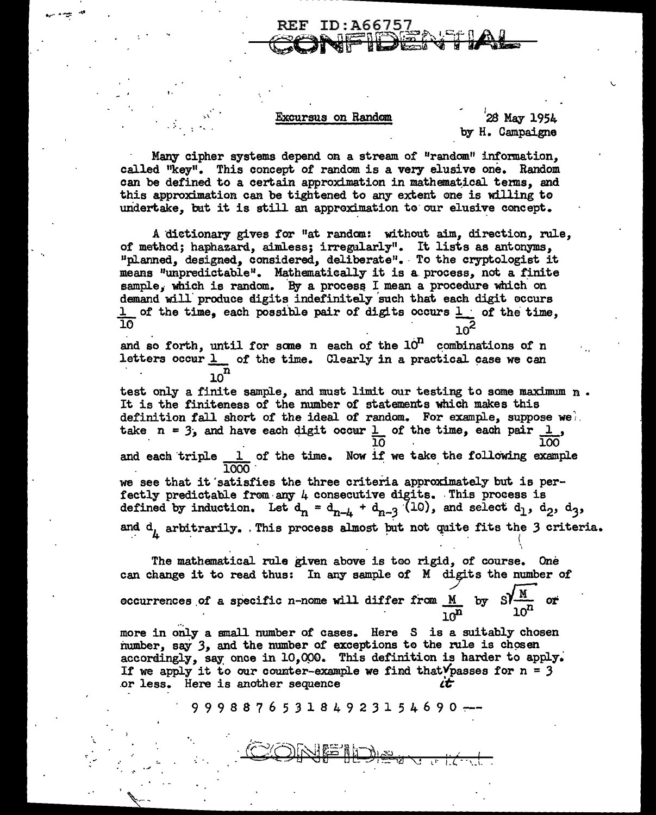## Excursus on Random

**REF ID:A66757** 

## 28 May 1954 by H. Campaigne

Many cipher systems depend on a stream of "random" information. called "key". This concept of random is a very elusive one. Random can be defined to a certain approximation in mathematical terms, and this approximation can be tightened to any extent one is willing to undertake, but it is still an approximation to our elusive concept.

A dictionary gives for "at random: without aim, direction, rule, of method; haphazard, aimless; irregularly". It lists as antonyms, "planned, designed, considered, deliberate". To the cryptologist it means "unpredictable". Mathematically it is a process, not a finite sample, which is random. By a process I mean a procedure which on demand will produce digits indefinitely such that each digit occurs 1 of the time, each possible pair of digits occurs  $1$  of the time. កក

and so forth, until for some n each of the  $10<sup>11</sup>$  combinations of n letters occur  $1$  of the time. Clearly in a practical case we can

test only a finite sample, and must limit our testing to some maximum n. It is the finiteness of the number of statements which makes this definition fall short of the ideal of random. For example, suppose wel. take  $n = 3$ , and have each digit occur 1 of the time, each pair 1, 1 of the time. Now if we take the following example and each triple we see that it satisfies the three criteria approximately but is perfectly predictable from any 4 consecutive digits. This process is defined by induction. Let  $d_n = d_{n-k} + d_{n-3}$  (10), and select  $d_1$ ,  $d_2$ ,  $d_3$ , and d, arbitrarily. This process almost but not quite fits the 3 criteria.

The mathematical rule given above is too rigid, of course. One can change it to read thus: In any sample of M digits the number of occurrences of a specific n-nome will differ from M by SI

more in only a small number of cases. Here S is a suitably chosen number, say 3, and the number of exceptions to the rule is chosen accordingly, say once in 10,000. This definition is harder to apply. If we apply it to our counter-example we find that V passes for  $n = 3$ or less. Here is another sequence LË

9 9 9 8 8 7 6 5 3 1 8 4 9 2 3 1 5 4 6 9 0 -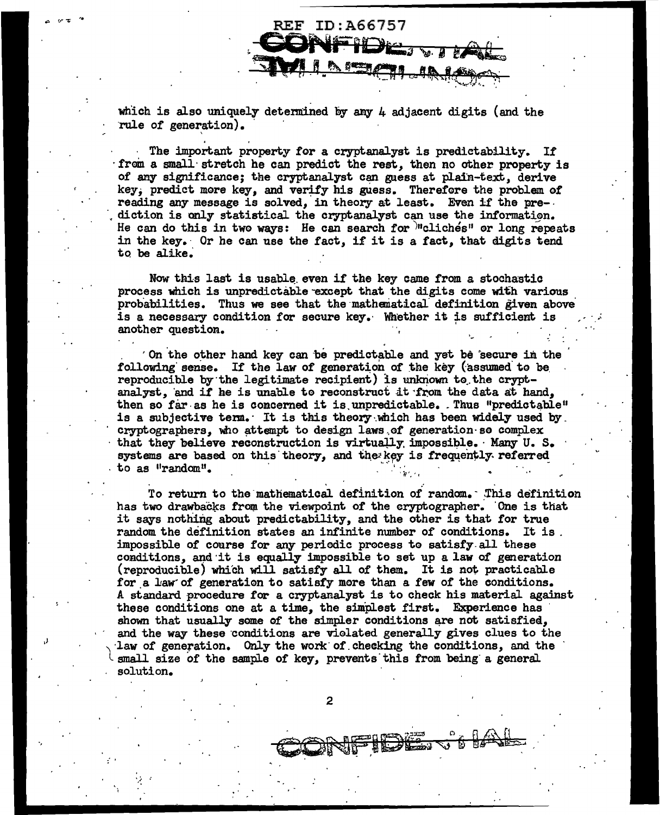which is also uniquely determined by any  $\mu$  adjacent digits (and the rule of generation).

**REF ID:A66757** 

The important property for a cryptanalyst is predictability. If from a small stretch he can predict the rest, then no other property is of any significance; the cryptanalyst can gaess at plain-text, derive key, predict more key, and verify his guess. Therefore the problem of reading any message is solved, in theory at least. Even if the prediction is only statistical the cryptanalyst can use the information. He can do this in two ways: He can search for *m*cliches" or long repeats in the key. Or he can use the fact, if it is a fact, that digits tend to be alike.

Now this last is usable even if the key came from a stochastic process which is unpredictable except that the digits come with various probabilities. Thus we see that the mathematical definition given above is a necessary condition for secure key. Whether it is sufficient is another question.

On the other hand key can be predictable and yet be secure in the following sense. If the law of generation of the key (assumed to be reproducible by the legitimate recipient) is unknown to the cryptanalyst, and if he is unable to reconstruct it from the data at hand, then so far as he is concerned it is unpredictable. Thus "predictable" is a subjective term. It is this theory which has been widely used by. cryptographers, who attempt to design laws of generation so complex that they believe reconstruction is virtually impossible. Many U.S. systems are based on this theory, and the key is frequently referred to as "random".

To return to the mathematical definition of random. This definition has two drawbacks from the viewpoint of the cryptographer. One is that it says nothing about predictability, and the other is that for true random the definition states an infinite number of conditions. It is. impossible of course for any periodic process to satisfy all these conditions, and it is equally impossible to set up a law of generation (reproducible) which will satisfy all of them. It is not practicable for a law of generation to satisfy more than a few of the conditions. A standard procedure for a cryptanalyst is to check his material against these conditions one at a time, the simplest first. Experience has shown that usually some of the simpler conditions are not satisfied, and the way these conditions are violated generally gives clues to the law of generation. Only the work of checking the conditions, and the small size of the sample of key, prevents this from being a general solution.

 $\boldsymbol{2}$